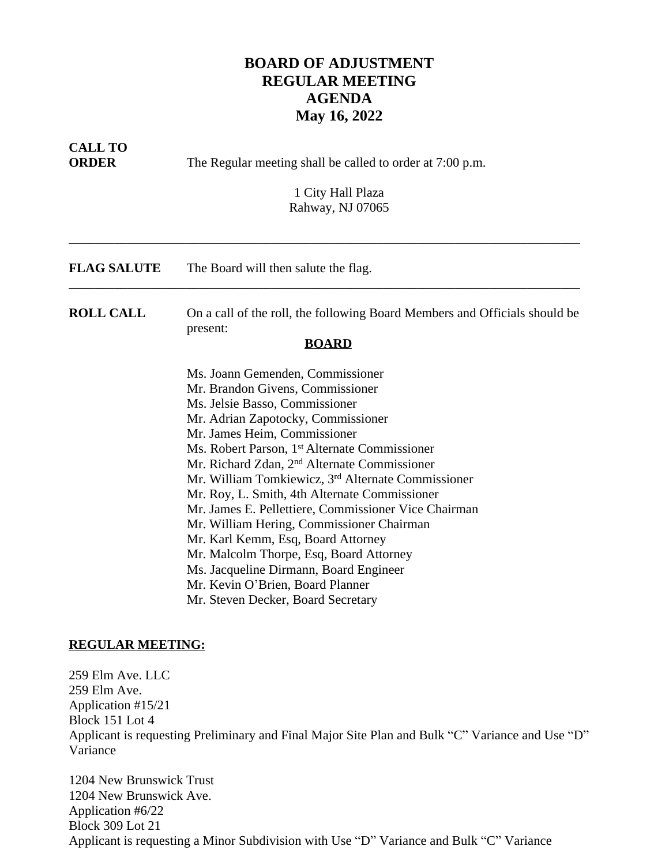## **BOARD OF ADJUSTMENT REGULAR MEETING AGENDA May 16, 2022**

| <b>CALL TO</b><br><b>ORDER</b> | The Regular meeting shall be called to order at 7:00 p.m.<br>1 City Hall Plaza<br>Rahway, NJ 07065                                                                                                                                                                                                                                                                                                                                                                                                                                                                                                                                                                                                                                 |
|--------------------------------|------------------------------------------------------------------------------------------------------------------------------------------------------------------------------------------------------------------------------------------------------------------------------------------------------------------------------------------------------------------------------------------------------------------------------------------------------------------------------------------------------------------------------------------------------------------------------------------------------------------------------------------------------------------------------------------------------------------------------------|
| <b>FLAG SALUTE</b>             | The Board will then salute the flag.                                                                                                                                                                                                                                                                                                                                                                                                                                                                                                                                                                                                                                                                                               |
| <b>ROLL CALL</b>               | On a call of the roll, the following Board Members and Officials should be<br>present:<br><b>BOARD</b>                                                                                                                                                                                                                                                                                                                                                                                                                                                                                                                                                                                                                             |
|                                | Ms. Joann Gemenden, Commissioner<br>Mr. Brandon Givens, Commissioner<br>Ms. Jelsie Basso, Commissioner<br>Mr. Adrian Zapotocky, Commissioner<br>Mr. James Heim, Commissioner<br>Ms. Robert Parson, 1 <sup>st</sup> Alternate Commissioner<br>Mr. Richard Zdan, 2 <sup>nd</sup> Alternate Commissioner<br>Mr. William Tomkiewicz, 3 <sup>rd</sup> Alternate Commissioner<br>Mr. Roy, L. Smith, 4th Alternate Commissioner<br>Mr. James E. Pellettiere, Commissioner Vice Chairman<br>Mr. William Hering, Commissioner Chairman<br>Mr. Karl Kemm, Esq, Board Attorney<br>Mr. Malcolm Thorpe, Esq, Board Attorney<br>Ms. Jacqueline Dirmann, Board Engineer<br>Mr. Kevin O'Brien, Board Planner<br>Mr. Steven Decker, Board Secretary |

## **REGULAR MEETING:**

259 Elm Ave. LLC 259 Elm Ave. Application #15/21 Block 151 Lot 4 Applicant is requesting Preliminary and Final Major Site Plan and Bulk "C" Variance and Use "D" Variance

1204 New Brunswick Trust 1204 New Brunswick Ave. Application #6/22 Block 309 Lot 21 Applicant is requesting a Minor Subdivision with Use "D" Variance and Bulk "C" Variance